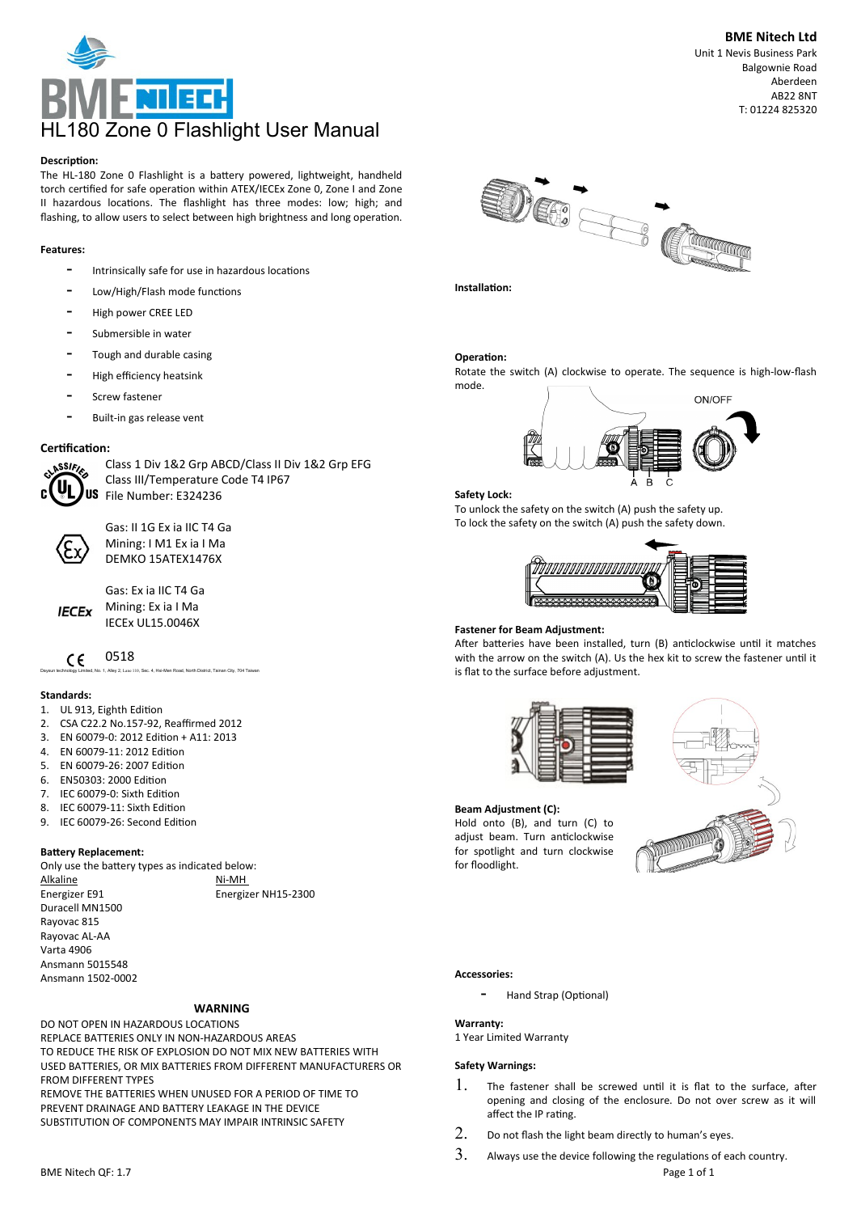

### **Descripton:**

The HL-180 Zone 0 Flashlight is a battery powered, lightweight, handheld torch certified for safe operation within ATEX/IECEx Zone 0, Zone I and Zone II hazardous locations. The flashlight has three modes: low; high; and flashing, to allow users to select between high brightness and long operation.

## **Features:**

- Intrinsically safe for use in hazardous locations
- Low/High/Flash mode functions
- High power CREE LED
- Submersible in water
- Tough and durable casing
- High efficiency heatsink
- Screw fastener
- Built-in gas release vent

## Certification:



Gas: II 1G Ex ia IIC T4 Ga Mining: I M1 Ex ia I Ma DEMKO 15ATEX1476X

Class III/Temperature Code T4 IP67

Class 1 Div 1&2 Grp ABCD/Class II Div 1&2 Grp EFG

Gas: Ex ia IIC T4 Ga Mining: Ex ia I Ma IECEx UL15.0046X

0518  $\epsilon$ 

Daysun technology Limited, No. 1, Alley 2, Lane 110, Sec. 4, Hsi-Men Road, North District, Tainan City, 704 Taiwan

## **Standards:**

**IECEX** 

- 1. UL 913, Eighth Editon
- 2. CSA C22.2 No.157-92, Reaffirmed 2012
- 3. EN 60079-0: 2012 Editon + A11: 2013
- 4. EN 60079-11: 2012 Editon
- 5. EN 60079-26: 2007 Editon
- 6. EN50303: 2000 Edition<br>7. IEC 60079-0: Sixth Editi
- IEC 60079-0: Sixth Edition 8. IEC 60079-11: Sixth Editon
- 9. IEC 60079-26: Second Editon
- 

### **Batery Replacement:**

Only use the batery types as indicated below: Alkaline Ni-MH Energizer E91 Energizer NH15-2300 Duracell MN1500 Rayovac 815 Rayovac AL-AA Varta 4906 Ansmann 5015548 Ansmann 1502-0002

## **WARNING**

DO NOT OPEN IN HAZARDOUS LOCATIONS REPLACE BATTERIES ONLY IN NON-HAZARDOUS AREAS TO REDUCE THE RISK OF EXPLOSION DO NOT MIX NEW BATTERIES WITH USED BATTERIES, OR MIX BATTERIES FROM DIFFERENT MANUFACTURERS OR FROM DIFFERENT TYPES REMOVE THE BATTERIES WHEN UNUSED FOR A PERIOD OF TIME TO PREVENT DRAINAGE AND BATTERY LEAKAGE IN THE DEVICE SUBSTITUTION OF COMPONENTS MAY IMPAIR INTRINSIC SAFETY



# **Operation:**

Rotate the switch (A) clockwise to operate. The sequence is high-low-fash mode.



### **Safety Lock:**

To unlock the safety on the switch (A) push the safety up. To lock the safety on the switch (A) push the safety down.



### **Fastener for Beam Adjustment:**

After batteries have been installed, turn (B) anticlockwise until it matches with the arrow on the switch (A). Us the hex kit to screw the fastener until it is fat to the surface before adjustment.





#### **Accessories:**

for foodlight.

Hand Strap (Optional)

### **Warranty:**

1 Year Limited Warranty

**Beam Adjustment (C):**

Hold onto (B), and turn (C) to adjust beam. Turn anticlockwise for spotlight and turn clockwise

## **Safety Warnings:**

- 1. The fastener shall be screwed until it is flat to the surface, after opening and closing of the enclosure. Do not over screw as it will afect the IP ratng.
- $2.$  Do not flash the light beam directly to human's eyes.
- $3.$  Always use the device following the regulations of each country. BME Nitech QF: 1.7 Page 1 of 1

Unit 1 Nevis Business Park Balgownie Road Aberdeen AB22 8NT T: 01224 825320